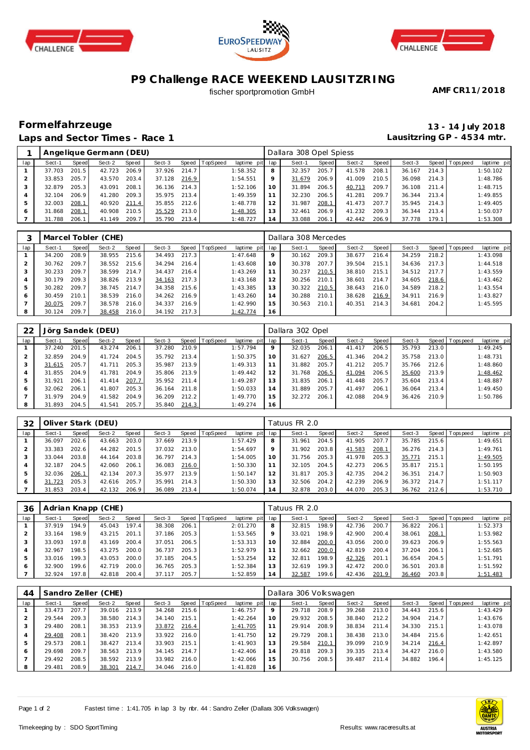





## **P9 Challenge RACE WEEKEND LAUSITZRING**

fischer sportpromotion GmbH

**AMF CR11/2018**

## **Formelfahrzeuge 13 - 14 July 2018 Laps and Sector Times - Race 1**

**Lausitzring GP - 4534 mtr.**

|              |        |       | Angelique Germann (DEU) |       |        |       |                |                 |                 | Dallara 308 Opel Spiess |       |        |       |        |       |                |             |
|--------------|--------|-------|-------------------------|-------|--------|-------|----------------|-----------------|-----------------|-------------------------|-------|--------|-------|--------|-------|----------------|-------------|
| lap          | Sect-1 | Speed | Sect-2                  | Speed | Sect-3 |       | Speed TopSpeed | laptime pit lap |                 | Sect-1                  | Speed | Sect-2 | Speed | Sect-3 |       | Speed Topspeed | laptime pit |
|              | 37.703 | 201.5 | 42.723                  | 206.9 | 37.926 | 214.7 |                | 1:58.352        | 8               | 32.357                  | 205.7 | 41.578 | 208.1 | 36.167 | 214.3 |                | 1:50.102    |
|              | 33.853 | 205.7 | 43.570                  | 203.4 | 37.128 | 216.9 |                | 1:54.551        | 9               | 31.679                  | 206.9 | 41.009 | 210.5 | 36.098 | 214.3 |                | 1:48.786    |
|              | 32.879 | 205.3 | 43.091                  | 208.1 | 36.136 | 214.3 |                | 1:52.106        | 10 <sup>°</sup> | 31.894                  | 206.5 | 40.713 | 209.7 | 36.108 | 211.4 |                | 1:48.715    |
|              | 32.104 | 206.9 | 41.280                  | 209.3 | 35.975 | 213.4 |                | 1:49.359        |                 | 32.230                  | 206.5 | 41.281 | 209.7 | 36.344 | 213.4 |                | 1:49.855    |
| 5            | 32.003 | 208.1 | 40.920                  | 211.4 | 35.855 | 212.6 |                | 1:48.778        | 12              | 31.987                  | 208.1 | 41.473 | 207.7 | 35.945 | 214.3 |                | 1:49.405    |
| <sup>6</sup> | 31.868 | 208.1 | 40.908                  | 210.5 | 35.529 | 213.0 |                | 1:48.305        | 13              | 32.461                  | 206.9 | 41.232 | 209.3 | 36.344 | 213.4 |                | 1:50.037    |
|              | 31.788 | 206.1 | 41.149                  | 209.7 | 35.790 | 213.4 |                | 1:48.727        | i 4             | 33.088                  | 206.1 | 42.442 | 206.9 | 37.778 | 179.1 |                | 1:53.308    |

|     |        |       | Marcel Tobler (CHE) |       |        |       |                |                 |    | Dallara 308 Mercedes |              |        |       |        |       |                |             |
|-----|--------|-------|---------------------|-------|--------|-------|----------------|-----------------|----|----------------------|--------------|--------|-------|--------|-------|----------------|-------------|
| lap | Sect-1 | Speed | Sect-2              | Speed | Sect-3 |       | Speed TopSpeed | laptime pit lap |    | Sect-1               | <b>Speed</b> | Sect-2 | Speed | Sect-3 |       | Speed Topspeed | laptime pit |
|     | 34.200 | 208.9 | 38.955              | 215.6 | 34.493 | 217.3 |                | 1:47.648        | 9  | 30.162               | 209.3        | 38.677 | 216.4 | 34.259 | 218.2 |                | 1:43.098    |
|     | 30.762 | 209.7 | 38.552              | 215.6 | 34.294 | 216.4 |                | 1:43.608        | 10 | 30.378               | 207.7        | 39.504 | 215.1 | 34.636 | 217.3 |                | 1:44.518    |
|     | 30.233 | 209.7 | 38.599              | 214.7 | 34.437 | 216.4 |                | 1:43.269        | 11 | 30.237               | 210.5        | 38.810 | 215.1 | 34.512 | 217.7 |                | 1:43.559    |
|     | 30.179 | 209.3 | 38.826              | 213.9 | 34.163 | 217.3 |                | 1:43.168        | 12 | 30.256               | 210.1        | 38.601 | 214.7 | 34.605 | 218.6 |                | 1:43.462    |
| 5   | 30.282 | 209.7 | 38.745              | 214.7 | 34.358 | 215.6 |                | 1:43.385        | 13 | 30.322               | 210.5        | 38.643 | 216.0 | 34.589 | 218.2 |                | 1:43.554    |
| 6   | 30.459 | 210.1 | 38.539              | 216.0 | 34.262 | 216.9 |                | 1:43.260        | 14 | 30.288               | 210.1        | 38.628 | 216.9 | 34.911 | 216.9 |                | 1:43.827    |
|     | 30.075 | 209.7 | 38.578              | 216.0 | 34.337 | 216.9 |                | 1:42.990        | 15 | 30.563               | 210.1        | 40.351 | 214.3 | 34.681 | 204.2 |                | 1:45.595    |
| 8   | 30.124 | 209.7 | 38.458              | 216.0 | 34.192 | 217.3 |                | 1:42.774        | 16 |                      |              |        |       |        |       |                |             |

| 22  |        |       | Jörg Sandek (DEU) |       |        |       |                |             |     | Dallara 302 Opel |       |        |       |        |       |                 |             |
|-----|--------|-------|-------------------|-------|--------|-------|----------------|-------------|-----|------------------|-------|--------|-------|--------|-------|-----------------|-------------|
| lap | Sect-1 | Speed | Sect-2            | Speed | Sect-3 |       | Speed TopSpeed | laptime pit | lap | Sect-1           | Speed | Sect-2 | Speed | Sect-3 |       | Speed Tops peed | laptime pit |
|     | 37.240 | 201.5 | 43.274            | 206.1 | 37.280 | 210.9 |                | 1:57.794    | 9   | 32.035           | 206.1 | 41.417 | 206.5 | 35.793 | 213.0 |                 | 1:49.245    |
|     | 32.859 | 204.9 | 41.724            | 204.5 | 35.792 | 213.4 |                | 1:50.375    | 10  | 31.627           | 206.5 | 41.346 | 204.2 | 35.758 | 213.0 |                 | 1:48.731    |
| 3   | 31.615 | 205.7 | 41.711            | 205.3 | 35.987 | 213.9 |                | 1:49.313    | 11  | 31.882           | 205.7 | 41.212 | 205.7 | 35.766 | 212.6 |                 | 1:48.860    |
|     | 31.855 | 204.9 | 41.781            | 204.9 | 35.806 | 213.9 |                | 1:49.442    | 12  | 31.768           | 206.5 | 41.094 | 206.5 | 35.600 | 213.9 |                 | 1:48.462    |
| 5   | 31.921 | 206.1 | 41.414            | 207.7 | 35.952 | 211.4 |                | 1:49.287    | 13  | 31.835           | 206.1 | 41.448 | 205.7 | 35.604 | 213.4 |                 | 1:48.887    |
| O   | 32.062 | 206.1 | 41.807            | 205.3 | 36.164 | 211.8 |                | 1:50.033    | 14  | 31.889           | 205.7 | 41.497 | 206.1 | 36.064 | 213.4 |                 | 1:49.450    |
|     | 31.979 | 204.9 | 41.582            | 204.9 | 36.209 | 212.2 |                | 1:49.770    | 15  | 32.272           | 206.1 | 42.088 | 204.9 | 36.426 | 210.9 |                 | 1:50.786    |
| 8   | 31.893 | 204.5 | 41.541            | 205.7 | 35.840 | 214.3 |                | 1:49.274    | 16  |                  |       |        |       |        |       |                 |             |

| 32           |        |       | Oliver Stark (DEU) |       |        |       |                  |             |     | Tatuus FR 2.0 |       |        |       |        |       |            |             |
|--------------|--------|-------|--------------------|-------|--------|-------|------------------|-------------|-----|---------------|-------|--------|-------|--------|-------|------------|-------------|
| lap          | Sect-1 | Speed | Sect-2             | Speed | Sect-3 |       | Speed   TopSpeed | laptime pit | lap | Sect-1        | Speed | Sect-2 | Speed | Sect-3 | Speed | T ops peed | laptime pit |
|              | 36.097 | 202.6 | 43.663             | 203.0 | 37.669 | 213.9 |                  | 1:57.429    | 8   | 31.961        | 204.5 | 41.905 | 207.7 | 35.785 | 215.6 |            | 1:49.651    |
|              | 33.383 | 202.6 | 44.282             | 201.5 | 37.032 | 213.0 |                  | 1:54.697    | 9   | 31.902        | 203.8 | 41.583 | 208.1 | 36.276 | 214.3 |            | 1:49.761    |
|              | 33.044 | 203.8 | 44.164             | 203.8 | 36.797 | 214.3 |                  | 1:54.005    | 10  | 31.756        | 205.3 | 41.978 | 205.3 | 35.771 | 215.1 |            | 1:49.505    |
|              | 32.187 | 204.5 | 42.060             | 206.1 | 36.083 | 216.0 |                  | 1:50.330    | 11  | 32.105        | 204.5 | 42.273 | 206.5 | 35.817 | 215.1 |            | 1:50.195    |
|              | 32.036 | 206.1 | 42.134             | 207.3 | 35.977 | 213.9 |                  | 1:50.147    | 12  | 31.817        | 205.3 | 42.735 | 204.2 | 36.351 | 214.7 |            | 1:50.903    |
| <sup>6</sup> | 31.723 | 205.3 | 42.616             | 205.7 | 35.991 | 214.3 |                  | 1:50.330    | 13  | 32.506        | 204.2 | 42.239 | 206.9 | 36.372 | 214.7 |            | 1:51.117    |
|              | 31.853 | 203.4 | 42.132             | 206.9 | 36.089 | 213.4 |                  | 1:50.074    | 14  | 32.878        | 203.0 | 44.070 | 205.3 | 36.762 | 212.6 |            | 1:53.710    |

| 36  |        |       | Adrian Knapp (CHE) |       |        |       |                |             |     | Tatuus FR 2.0 |       |        |       |        |       |                 |             |
|-----|--------|-------|--------------------|-------|--------|-------|----------------|-------------|-----|---------------|-------|--------|-------|--------|-------|-----------------|-------------|
| lap | Sect-1 | Speed | Sect-2             | Speed | Sect-3 |       | Speed TopSpeed | laptime pit | lap | Sect-1        | Speed | Sect-2 | Speed | Sect-3 |       | Speed Tops peed | laptime pit |
|     | 37.919 | 194.9 | 45.043             | 197.4 | 38.308 | 206.1 |                | 2:01.270    | 8   | 32.815        | 198.9 | 42.736 | 200.7 | 36.822 | 206.1 |                 | 1:52.373    |
|     | 33.164 | 198.9 | 43.215             | 201.1 | 37.186 | 205.3 |                | 1:53.565    |     | 33.021        | 198.9 | 42.900 | 200.4 | 38.061 | 208.1 |                 | 1:53.982    |
| 3   | 33.093 | 197.8 | 43.169             | 200.4 | 37.051 | 206.5 |                | 1:53.313    |     | 32.884        | 200.0 | 43.056 | 200.0 | 39.623 | 206.9 |                 | 1:55.563    |
|     | 32.967 | 198.5 | 43.275             | 200.0 | 36.737 | 205.3 |                | 1:52.979    |     | 32.662        | 200.0 | 42.819 | 200.4 | 37.204 | 206.1 |                 | 1:52.685    |
|     | 33.016 | 199.3 | 43.053             | 200.0 | 37.185 | 204.5 |                | 1:53.254    | 12  | 32.811        | 198.9 | 42.326 | 201.1 | 36.654 | 204.5 |                 | 1:51.791    |
| 6   | 32.900 | 199.6 | 42.719             | 200.0 | 36.765 | 205.3 |                | 1:52.384    | 13  | 32.619        | 199.3 | 42.472 | 200.0 | 36.501 | 203.8 |                 | 1:51.592    |
|     | 32.924 | 197.8 | 42.818             | 200.4 | 37.117 | 205.7 |                | 1:52.859    | 14  | 32.587        | 199.6 | 42.436 | 201.9 | 36.460 | 203.8 |                 | 1:51.483    |

| 44  |        |       | Sandro Zeller (CHE) |       |        |       |                  |                 |         | Dallara 306 Volkswagen |       |        |       |        |       |                |             |
|-----|--------|-------|---------------------|-------|--------|-------|------------------|-----------------|---------|------------------------|-------|--------|-------|--------|-------|----------------|-------------|
| lap | Sect-1 | Speed | Sect-2              | Speed | Sect-3 |       | Speed   TopSpeed | laptime pit lap |         | Sect-1                 | Speed | Sect-2 | Speed | Sect-3 |       | Speed Topspeed | laptime pit |
|     | 33.473 | 207.7 | 39.016              | 213.9 | 34.268 | 215.6 |                  | 1:46.757        | $\circ$ | 29.718                 | 208.9 | 39.268 | 213.0 | 34.443 | 215.6 |                | 1:43.429    |
|     | 29.544 | 209.3 | 38.580              | 214.3 | 34.140 | 215.1 |                  | 1:42.264        | 10      | 29.932                 | 208.5 | 38.840 | 212.2 | 34.904 | 214.7 |                | 1:43.676    |
|     | 29.480 | 208.1 | 38.353              | 213.9 | 33.872 | 216.4 |                  | 1:41.705        | 11      | 29.914                 | 208.9 | 38.834 | 211.4 | 34.330 | 215.1 |                | 1:43.078    |
|     | 29.408 | 208.1 | 38.420              | 213.9 | 33.922 | 216.0 |                  | 1:41.750        | 12      | 29.729                 | 208.1 | 38.438 | 213.0 | 34.484 | 215.6 |                | 1:42.651    |
| 5   | 29.573 | 208.1 | 38.427              | 213.4 | 33.903 | 215.1 |                  | 1:41.903        | 13      | 29.584                 | 210.1 | 39.099 | 210.9 | 34.214 | 216.4 |                | 1:42.897    |
| 6   | 29.698 | 209.7 | 38.563              | 213.9 | 34.145 | 214.7 |                  | 1:42.406        | 14      | 29.818                 | 209.3 | 39.335 | 213.4 | 34.427 | 216.0 |                | 1:43.580    |
|     | 29.492 | 208.5 | 38.592              | 213.9 | 33.982 | 216.0 |                  | 1:42.066        | 15      | 30.756                 | 208.5 | 39.487 | 211.4 | 34.882 | 196.4 |                | 1:45.125    |
| 8   | 29.481 | 208.9 | 38.301              | 214.7 | 34.046 | 216.0 |                  | 1:41.828        | 16      |                        |       |        |       |        |       |                |             |